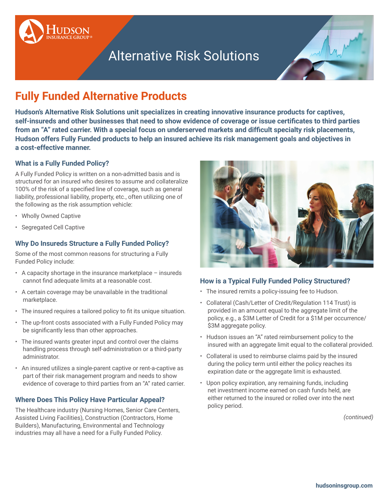

# Alternative Risk Solutions



# **Fully Funded Alternative Products**

**Hudson's Alternative Risk Solutions unit specializes in creating innovative insurance products for captives, self-insureds and other businesses that need to show evidence of coverage or issue certificates to third parties from an "A" rated carrier. With a special focus on underserved markets and difficult specialty risk placements, Hudson offers Fully Funded products to help an insured achieve its risk management goals and objectives in a cost-effective manner.**

#### **What is a Fully Funded Policy?**

A Fully Funded Policy is written on a non-admitted basis and is structured for an insured who desires to assume and collateralize 100% of the risk of a specified line of coverage, such as general liability, professional liability, property, etc., often utilizing one of the following as the risk assumption vehicle:

- Wholly Owned Captive
- Segregated Cell Captive

#### **Why Do Insureds Structure a Fully Funded Policy?**

Some of the most common reasons for structuring a Fully Funded Policy include:

- A capacity shortage in the insurance marketplace insureds cannot find adequate limits at a reasonable cost.
- A certain coverage may be unavailable in the traditional marketplace.
- The insured requires a tailored policy to fit its unique situation.
- The up-front costs associated with a Fully Funded Policy may be significantly less than other approaches.
- The insured wants greater input and control over the claims handling process through self-administration or a third-party administrator.
- An insured utilizes a single-parent captive or rent-a-captive as part of their risk management program and needs to show evidence of coverage to third parties from an "A" rated carrier.

#### **Where Does This Policy Have Particular Appeal?**

The Healthcare industry (Nursing Homes, Senior Care Centers, Assisted Living Facilities), Construction (Contractors, Home Builders), Manufacturing, Environmental and Technology industries may all have a need for a Fully Funded Policy.



#### **How is a Typical Fully Funded Policy Structured?**

- The insured remits a policy-issuing fee to Hudson.
- Collateral (Cash/Letter of Credit/Regulation 114 Trust) is provided in an amount equal to the aggregate limit of the policy, e.g., a \$3M Letter of Credit for a \$1M per occurrence/ \$3M aggregate policy.
- Hudson issues an "A" rated reimbursement policy to the insured with an aggregate limit equal to the collateral provided.
- Collateral is used to reimburse claims paid by the insured during the policy term until either the policy reaches its expiration date or the aggregate limit is exhausted.
- Upon policy expiration, any remaining funds, including net investment income earned on cash funds held, are either returned to the insured or rolled over into the next policy period.

*(continued)*